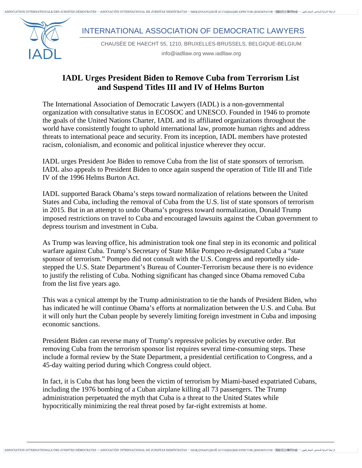لزيلة الدولية للحاشين " ASSOCIATION INTERNATIONALE DES JURISTES DÉMOCRATES • ⊡ASOCIACIÓN INTERNACIONAL DE JURISTAS DEMÓCRATAS • ⊡MEXIIVHAPOIHOЙ ACCOLIMALIMI IOPИCTOB·IEMOKPATOB • 国际民主律师协会 • ريلة للحياض اليوم المجان المجا

INTERNATIONAL ASSOCIATION OF DEMOCRATIC LAWYERS

CHAUSÉE DE HAECHT 55, 1210, BRUXELLES-BRUSSELS, BELGIQUE-BELGIUM

info@iadllaw.org www.iadllaw.org

## **IADL Urges President Biden to Remove Cuba from Terrorism List and Suspend Titles III and IV of Helms Burton**

The International Association of Democratic Lawyers (IADL) is a non-governmental organization with consultative status in ECOSOC and UNESCO. Founded in 1946 to promote the goals of the United Nations Charter, IADL and its affiliated organizations throughout the world have consistently fought to uphold international law, promote human rights and address threats to international peace and security. From its inception, IADL members have protested racism, colonialism, and economic and political injustice wherever they occur.

IADL urges President Joe Biden to remove Cuba from the list of state sponsors of terrorism. IADL also appeals to President Biden to once again suspend the operation of Title III and Title IV of the 1996 Helms Burton Act.

IADL supported Barack Obama's steps toward normalization of relations between the United States and Cuba, including the removal of Cuba from the U.S. list of state sponsors of terrorism in 2015. But in an attempt to undo Obama's progress toward normalization, Donald Trump imposed restrictions on travel to Cuba and encouraged lawsuits against the Cuban government to depress tourism and investment in Cuba.

As Trump was leaving office, his administration took one final step in its economic and political warfare against Cuba. Trump's Secretary of State Mike Pompeo re-designated Cuba a "state sponsor of terrorism." Pompeo did not consult with the U.S. Congress and reportedly sidestepped the U.S. State Department's Bureau of Counter-Terrorism because there is no evidence to justify the relisting of Cuba. Nothing significant has changed since Obama removed Cuba from the list five years ago.

This was a cynical attempt by the Trump administration to tie the hands of President Biden, who has indicated he will continue Obama's efforts at normalization between the U.S. and Cuba. But it will only hurt the Cuban people by severely limiting foreign investment in Cuba and imposing economic sanctions.

President Biden can reverse many of Trump's repressive policies by executive order. But removing Cuba from the terrorism sponsor list requires several time-consuming steps. These include a formal review by the State Department, a presidential certification to Congress, and a 45-day waiting period during which Congress could object.

In fact, it is Cuba that has long been the victim of terrorism by Miami-based expatriated Cubans, including the 1976 bombing of a Cuban airplane killing all 73 passengers. The Trump administration perpetuated the myth that Cuba is a threat to the United States while hypocritically minimizing the real threat posed by far-right extremists at home.

\_\_\_\_\_\_\_\_\_\_\_\_\_\_\_\_\_\_\_\_\_\_\_\_\_\_\_\_\_\_\_\_\_\_\_\_\_\_\_\_\_\_\_\_\_\_\_\_\_\_\_\_\_\_\_\_\_\_\_\_\_\_\_\_\_\_\_\_\_\_\_\_